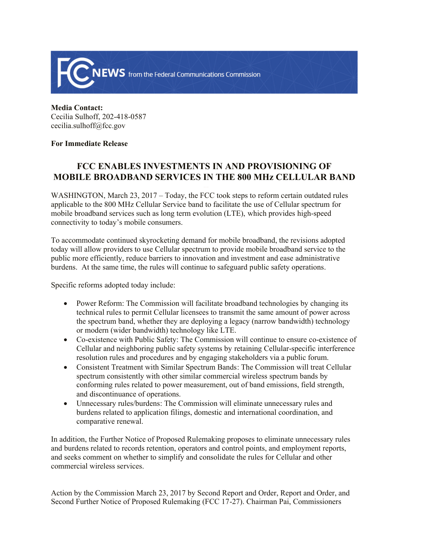

**Media Contact:**  Cecilia Sulhoff, 202-418-0587 cecilia.sulhoff@fcc.gov

## **For Immediate Release**

## **FCC ENABLES INVESTMENTS IN AND PROVISIONING OF MOBILE BROADBAND SERVICES IN THE 800 MHz CELLULAR BAND**

WASHINGTON, March 23, 2017 – Today, the FCC took steps to reform certain outdated rules applicable to the 800 MHz Cellular Service band to facilitate the use of Cellular spectrum for mobile broadband services such as long term evolution (LTE), which provides high-speed connectivity to today's mobile consumers.

To accommodate continued skyrocketing demand for mobile broadband, the revisions adopted today will allow providers to use Cellular spectrum to provide mobile broadband service to the public more efficiently, reduce barriers to innovation and investment and ease administrative burdens. At the same time, the rules will continue to safeguard public safety operations.

Specific reforms adopted today include:

- Power Reform: The Commission will facilitate broadband technologies by changing its technical rules to permit Cellular licensees to transmit the same amount of power across the spectrum band, whether they are deploying a legacy (narrow bandwidth) technology or modern (wider bandwidth) technology like LTE.
- Co-existence with Public Safety: The Commission will continue to ensure co-existence of Cellular and neighboring public safety systems by retaining Cellular-specific interference resolution rules and procedures and by engaging stakeholders via a public forum.
- Consistent Treatment with Similar Spectrum Bands: The Commission will treat Cellular spectrum consistently with other similar commercial wireless spectrum bands by conforming rules related to power measurement, out of band emissions, field strength, and discontinuance of operations.
- Unnecessary rules/burdens: The Commission will eliminate unnecessary rules and burdens related to application filings, domestic and international coordination, and comparative renewal.

In addition, the Further Notice of Proposed Rulemaking proposes to eliminate unnecessary rules and burdens related to records retention, operators and control points, and employment reports, and seeks comment on whether to simplify and consolidate the rules for Cellular and other commercial wireless services.

Action by the Commission March 23, 2017 by Second Report and Order, Report and Order, and Second Further Notice of Proposed Rulemaking (FCC 17-27). Chairman Pai, Commissioners